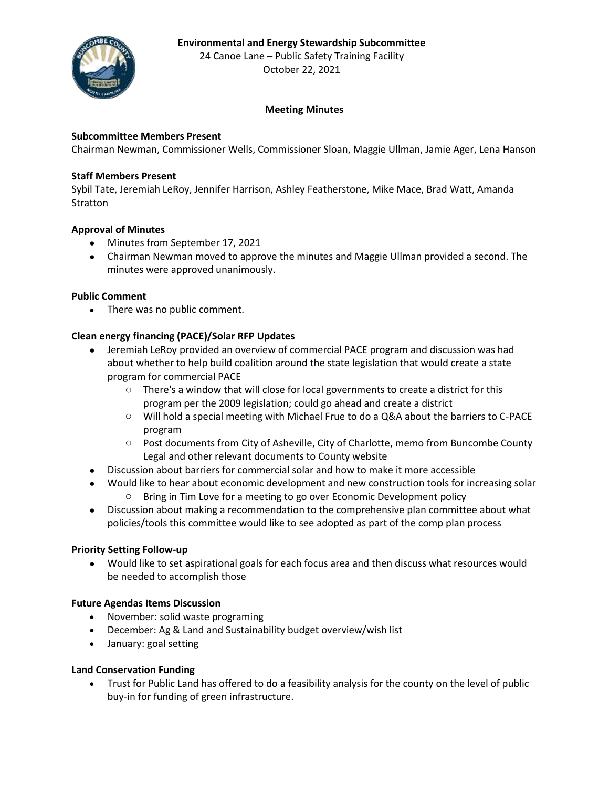### **Environmental and Energy Stewardship Subcommittee**



24 Canoe Lane – Public Safety Training Facility October 22, 2021

# **Meeting Minutes**

### **Subcommittee Members Present**

Chairman Newman, Commissioner Wells, Commissioner Sloan, Maggie Ullman, Jamie Ager, Lena Hanson

#### **Staff Members Present**

Sybil Tate, Jeremiah LeRoy, Jennifer Harrison, Ashley Featherstone, Mike Mace, Brad Watt, Amanda Stratton

#### **Approval of Minutes**

- Minutes from September 17, 2021
- Chairman Newman moved to approve the minutes and Maggie Ullman provided a second. The minutes were approved unanimously.

#### **Public Comment**

• There was no public comment.

### **Clean energy financing (PACE)/Solar RFP Updates**

- Jeremiah LeRoy provided an overview of commercial PACE program and discussion was had about whether to help build coalition around the state legislation that would create a state program for commercial PACE
	- $\circ$  There's a window that will close for local governments to create a district for this program per the 2009 legislation; could go ahead and create a district
	- o Will hold a special meeting with Michael Frue to do a Q&A about the barriers to C-PACE program
	- o Post documents from City of Asheville, City of Charlotte, memo from Buncombe County Legal and other relevant documents to County website
- Discussion about barriers for commercial solar and how to make it more accessible
- Would like to hear about economic development and new construction tools for increasing solar
	- o Bring in Tim Love for a meeting to go over Economic Development policy
- Discussion about making a recommendation to the comprehensive plan committee about what policies/tools this committee would like to see adopted as part of the comp plan process

#### **Priority Setting Follow-up**

• Would like to set aspirational goals for each focus area and then discuss what resources would be needed to accomplish those

#### **Future Agendas Items Discussion**

- November: solid waste programing
- December: Ag & Land and Sustainability budget overview/wish list
- January: goal setting

### **Land Conservation Funding**

• Trust for Public Land has offered to do a feasibility analysis for the county on the level of public buy-in for funding of green infrastructure.